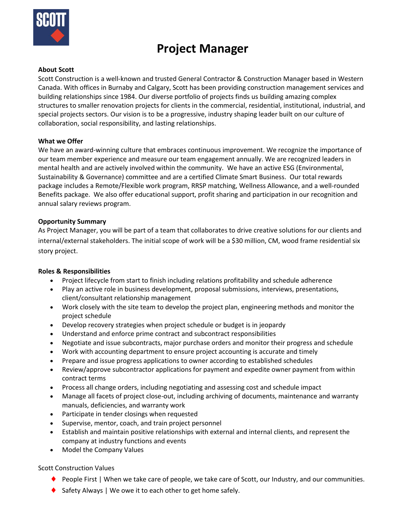

# **Project Manager**

## **About Scott**

Scott Construction is a well-known and trusted General Contractor & Construction Manager based in Western Canada. With offices in Burnaby and Calgary, Scott has been providing construction management services and building relationships since 1984. Our diverse portfolio of projects finds us building amazing complex structures to smaller renovation projects for clients in the commercial, residential, institutional, industrial, and special projects sectors. Our vision is to be a progressive, industry shaping leader built on our culture of collaboration, social responsibility, and lasting relationships.

#### **What we Offer**

We have an award-winning culture that embraces continuous improvement. We recognize the importance of our team member experience and measure our team engagement annually. We are recognized leaders in mental health and are actively involved within the community. We have an active ESG (Environmental, Sustainability & Governance) committee and are a certified Climate Smart Business. Our total rewards package includes a Remote/Flexible work program, RRSP matching, Wellness Allowance, and a well-rounded Benefits package. We also offer educational support, profit sharing and participation in our recognition and annual salary reviews program.

#### **Opportunity Summary**

As Project Manager, you will be part of a team that collaborates to drive creative solutions for our clients and internal/external stakeholders. The initial scope of work will be a \$30 million, CM, wood frame residential six story project.

## **Roles & Responsibilities**

- Project lifecycle from start to finish including relations profitability and schedule adherence
- Play an active role in business development, proposal submissions, interviews, presentations, client/consultant relationship management
- Work closely with the site team to develop the project plan, engineering methods and monitor the project schedule
- Develop recovery strategies when project schedule or budget is in jeopardy
- Understand and enforce prime contract and subcontract responsibilities
- Negotiate and issue subcontracts, major purchase orders and monitor their progress and schedule
- Work with accounting department to ensure project accounting is accurate and timely
- Prepare and issue progress applications to owner according to established schedules
- Review/approve subcontractor applications for payment and expedite owner payment from within contract terms
- Process all change orders, including negotiating and assessing cost and schedule impact
- Manage all facets of project close-out, including archiving of documents, maintenance and warranty manuals, deficiencies, and warranty work
- Participate in tender closings when requested
- Supervise, mentor, coach, and train project personnel
- Establish and maintain positive relationships with external and internal clients, and represent the company at industry functions and events
- Model the Company Values

## Scott Construction Values

- ◆ People First | When we take care of people, we take care of Scott, our Industry, and our communities.
- $\blacklozenge$  Safety Always | We owe it to each other to get home safely.